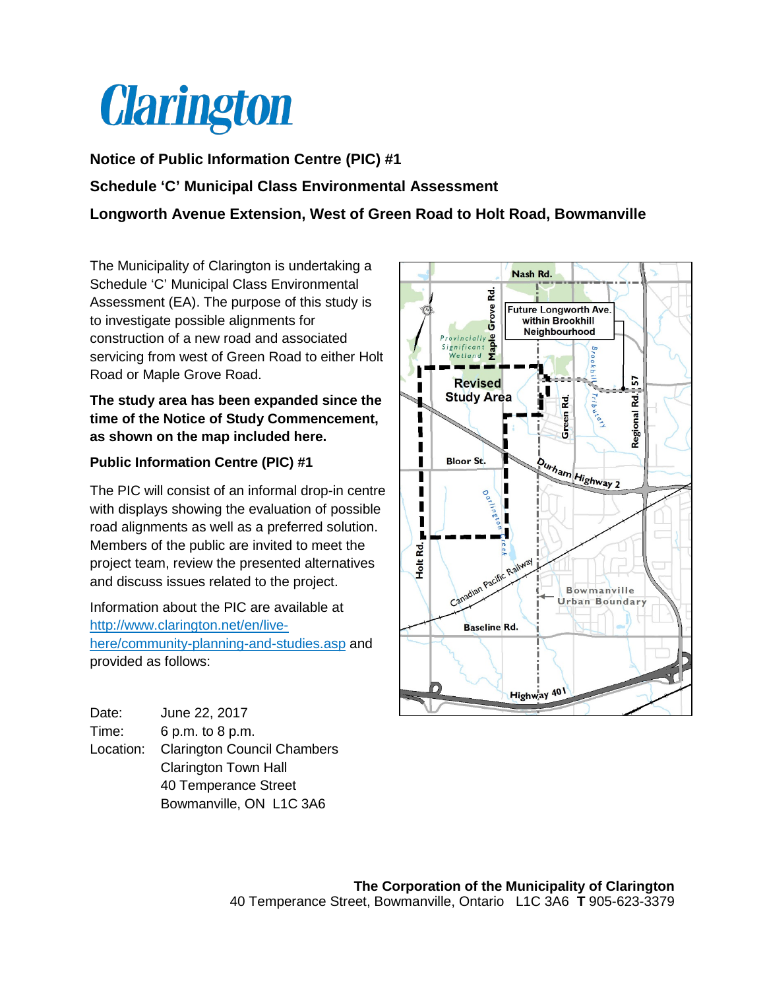

## **Notice of Public Information Centre (PIC) #1**

## **Schedule 'C' Municipal Class Environmental Assessment**

**Longworth Avenue Extension, West of Green Road to Holt Road, Bowmanville**

The Municipality of Clarington is undertaking a Schedule 'C' Municipal Class Environmental Assessment (EA). The purpose of this study is to investigate possible alignments for construction of a new road and associated servicing from west of Green Road to either Holt Road or Maple Grove Road.

**The study area has been expanded since the time of the Notice of Study Commencement, as shown on the map included here.**

## **Public Information Centre (PIC) #1**

The PIC will consist of an informal drop-in centre with displays showing the evaluation of possible road alignments as well as a preferred solution. Members of the public are invited to meet the project team, review the presented alternatives and discuss issues related to the project.

Information about the PIC are available at [http://www.clarington.net/en/live](http://www.clarington.net/en/live-here/community-planning-and-studies.asp)[here/community-planning-and-studies.asp](http://www.clarington.net/en/live-here/community-planning-and-studies.asp) and provided as follows:

| Date:     | June 22, 2017                      |
|-----------|------------------------------------|
| Time:     | 6 p.m. to 8 p.m.                   |
| Location: | <b>Clarington Council Chambers</b> |
|           | <b>Clarington Town Hall</b>        |
|           | 40 Temperance Street               |
|           | Bowmanville, ON L1C 3A6            |